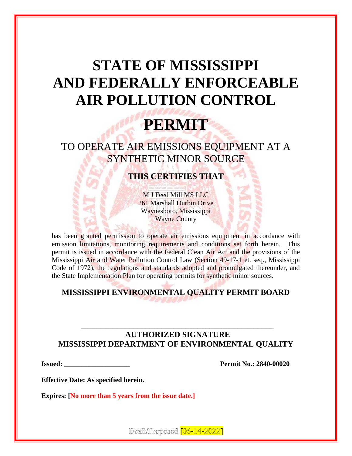# **STATE OF MISSISSIPPI AND FEDERALLY ENFORCEABLE AIR POLLUTION CONTROL**

# **PERMIT**

TO OPERATE AIR EMISSIONS EQUIPMENT AT A SYNTHETIC MINOR SOURCE

**THIS CERTIFIES THAT**

M J Feed Mill MS LLC 261 Marshall Durbin Drive Waynesboro, Mississippi Wayne County

has been granted permission to operate air emissions equipment in accordance with emission limitations, monitoring requirements and conditions set forth herein. This permit is issued in accordance with the Federal Clean Air Act and the provisions of the Mississippi Air and Water Pollution Control Law (Section 49-17-1 et. seq., Mississippi Code of 1972), the regulations and standards adopted and promulgated thereunder, and the State Implementation Plan for operating permits for synthetic minor sources.

# **MISSISSIPPI ENVIRONMENTAL QUALITY PERMIT BOARD**

## **AUTHORIZED SIGNATURE MISSISSIPPI DEPARTMENT OF ENVIRONMENTAL QUALITY**

**\_\_\_\_\_\_\_\_\_\_\_\_\_\_\_\_\_\_\_\_\_\_\_\_\_\_\_\_\_\_\_\_\_\_\_\_\_\_\_\_\_\_\_\_\_\_\_\_**

**Issued: \_\_\_\_\_\_\_\_\_\_\_\_\_\_\_\_\_\_\_ Permit No.: 2840-00020**

**Effective Date: As specified herein.**

**Expires: [No more than 5 years from the issue date.]**

Draft/Proposed [06-14-2022]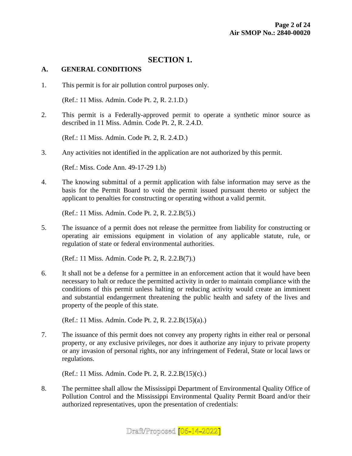### **SECTION 1.**

#### **A. GENERAL CONDITIONS**

1. This permit is for air pollution control purposes only.

(Ref.: 11 Miss. Admin. Code Pt. 2, R. 2.1.D.)

2. This permit is a Federally-approved permit to operate a synthetic minor source as described in 11 Miss. Admin. Code Pt. 2, R. 2.4.D.

(Ref.: 11 Miss. Admin. Code Pt. 2, R. 2.4.D.)

3. Any activities not identified in the application are not authorized by this permit.

(Ref.: Miss. Code Ann. 49-17-29 1.b)

4. The knowing submittal of a permit application with false information may serve as the basis for the Permit Board to void the permit issued pursuant thereto or subject the applicant to penalties for constructing or operating without a valid permit.

(Ref.: 11 Miss. Admin. Code Pt. 2, R. 2.2.B(5).)

5. The issuance of a permit does not release the permittee from liability for constructing or operating air emissions equipment in violation of any applicable statute, rule, or regulation of state or federal environmental authorities.

(Ref.: 11 Miss. Admin. Code Pt. 2, R. 2.2.B(7).)

6. It shall not be a defense for a permittee in an enforcement action that it would have been necessary to halt or reduce the permitted activity in order to maintain compliance with the conditions of this permit unless halting or reducing activity would create an imminent and substantial endangerment threatening the public health and safety of the lives and property of the people of this state.

(Ref.: 11 Miss. Admin. Code Pt. 2, R. 2.2.B(15)(a).)

7. The issuance of this permit does not convey any property rights in either real or personal property, or any exclusive privileges, nor does it authorize any injury to private property or any invasion of personal rights, nor any infringement of Federal, State or local laws or regulations.

(Ref.: 11 Miss. Admin. Code Pt. 2, R. 2.2.B(15)(c).)

8. The permittee shall allow the Mississippi Department of Environmental Quality Office of Pollution Control and the Mississippi Environmental Quality Permit Board and/or their authorized representatives, upon the presentation of credentials:

## Draft/Proposed [06-14-2022]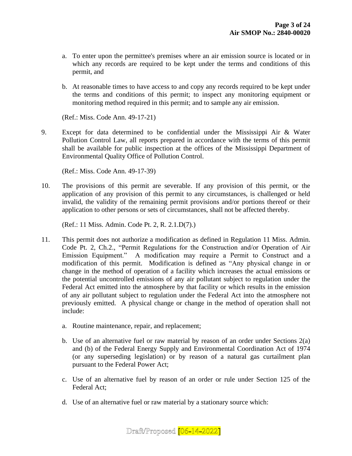- a. To enter upon the permittee's premises where an air emission source is located or in which any records are required to be kept under the terms and conditions of this permit, and
- b. At reasonable times to have access to and copy any records required to be kept under the terms and conditions of this permit; to inspect any monitoring equipment or monitoring method required in this permit; and to sample any air emission.

(Ref.: Miss. Code Ann. 49-17-21)

9. Except for data determined to be confidential under the Mississippi Air & Water Pollution Control Law, all reports prepared in accordance with the terms of this permit shall be available for public inspection at the offices of the Mississippi Department of Environmental Quality Office of Pollution Control.

(Ref.: Miss. Code Ann. 49-17-39)

10. The provisions of this permit are severable. If any provision of this permit, or the application of any provision of this permit to any circumstances, is challenged or held invalid, the validity of the remaining permit provisions and/or portions thereof or their application to other persons or sets of circumstances, shall not be affected thereby.

(Ref.: 11 Miss. Admin. Code Pt. 2, R. 2.1.D(7).)

- 11. This permit does not authorize a modification as defined in Regulation 11 Miss. Admin. Code Pt. 2, Ch.2., "Permit Regulations for the Construction and/or Operation of Air Emission Equipment." A modification may require a Permit to Construct and a modification of this permit. Modification is defined as "Any physical change in or change in the method of operation of a facility which increases the actual emissions or the potential uncontrolled emissions of any air pollutant subject to regulation under the Federal Act emitted into the atmosphere by that facility or which results in the emission of any air pollutant subject to regulation under the Federal Act into the atmosphere not previously emitted. A physical change or change in the method of operation shall not include:
	- a. Routine maintenance, repair, and replacement;
	- b. Use of an alternative fuel or raw material by reason of an order under Sections 2(a) and (b) of the Federal Energy Supply and Environmental Coordination Act of 1974 (or any superseding legislation) or by reason of a natural gas curtailment plan pursuant to the Federal Power Act;
	- c. Use of an alternative fuel by reason of an order or rule under Section 125 of the Federal Act;
	- d. Use of an alternative fuel or raw material by a stationary source which:

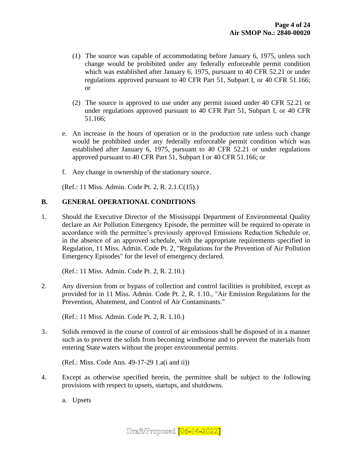- (1) The source was capable of accommodating before January 6, 1975, unless such change would be prohibited under any federally enforceable permit condition which was established after January 6, 1975, pursuant to 40 CFR 52.21 or under regulations approved pursuant to 40 CFR Part 51, Subpart I, or 40 CFR 51.166; or
- (2) The source is approved to use under any permit issued under 40 CFR 52.21 or under regulations approved pursuant to 40 CFR Part 51, Subpart I, or 40 CFR 51.166;
- e. An increase in the hours of operation or in the production rate unless such change would be prohibited under any federally enforceable permit condition which was established after January 6, 1975, pursuant to 40 CFR 52.21 or under regulations approved pursuant to 40 CFR Part 51, Subpart I or 40 CFR 51.166; or
- f. Any change in ownership of the stationary source.

(Ref.: 11 Miss. Admin. Code Pt. 2, R. 2.1.C(15).)

#### **B. GENERAL OPERATIONAL CONDITIONS**

1. Should the Executive Director of the Mississippi Department of Environmental Quality declare an Air Pollution Emergency Episode, the permittee will be required to operate in accordance with the permittee's previously approved Emissions Reduction Schedule or, in the absence of an approved schedule, with the appropriate requirements specified in Regulation, 11 Miss. Admin. Code Pt. 2, "Regulations for the Prevention of Air Pollution Emergency Episodes" for the level of emergency declared.

(Ref.: 11 Miss. Admin. Code Pt. 2, R. 2.10.)

2. Any diversion from or bypass of collection and control facilities is prohibited, except as provided for in 11 Miss. Admin. Code Pt. 2, R. 1.10., "Air Emission Regulations for the Prevention, Abatement, and Control of Air Contaminants."

(Ref.: 11 Miss. Admin. Code Pt. 2, R. 1.10.)

3. Solids removed in the course of control of air emissions shall be disposed of in a manner such as to prevent the solids from becoming windborne and to prevent the materials from entering State waters without the proper environmental permits.

(Ref.: Miss. Code Ann. 49-17-29 1.a(i and ii))

4. Except as otherwise specified herein, the permittee shall be subject to the following provisions with respect to upsets, startups, and shutdowns.

a. Upsets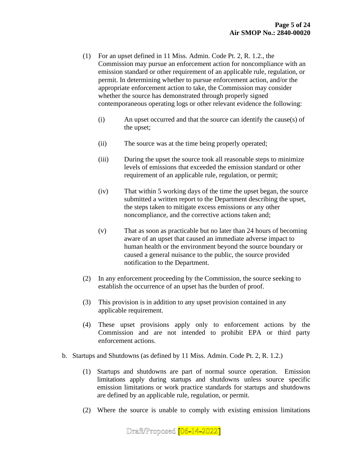- (1) For an upset defined in 11 Miss. Admin. Code Pt. 2, R. 1.2., the Commission may pursue an enforcement action for noncompliance with an emission standard or other requirement of an applicable rule, regulation, or permit. In determining whether to pursue enforcement action, and/or the appropriate enforcement action to take, the Commission may consider whether the source has demonstrated through properly signed contemporaneous operating logs or other relevant evidence the following:
	- (i) An upset occurred and that the source can identify the cause(s) of the upset;
	- (ii) The source was at the time being properly operated;
	- (iii) During the upset the source took all reasonable steps to minimize levels of emissions that exceeded the emission standard or other requirement of an applicable rule, regulation, or permit;
	- (iv) That within 5 working days of the time the upset began, the source submitted a written report to the Department describing the upset, the steps taken to mitigate excess emissions or any other noncompliance, and the corrective actions taken and;
	- (v) That as soon as practicable but no later than 24 hours of becoming aware of an upset that caused an immediate adverse impact to human health or the environment beyond the source boundary or caused a general nuisance to the public, the source provided notification to the Department.
- (2) In any enforcement proceeding by the Commission, the source seeking to establish the occurrence of an upset has the burden of proof.
- (3) This provision is in addition to any upset provision contained in any applicable requirement.
- (4) These upset provisions apply only to enforcement actions by the Commission and are not intended to prohibit EPA or third party enforcement actions.
- b. Startups and Shutdowns (as defined by 11 Miss. Admin. Code Pt. 2, R. 1.2.)
	- (1) Startups and shutdowns are part of normal source operation. Emission limitations apply during startups and shutdowns unless source specific emission limitations or work practice standards for startups and shutdowns are defined by an applicable rule, regulation, or permit.
	- (2) Where the source is unable to comply with existing emission limitations

Draft/Proposed [06-14-2022]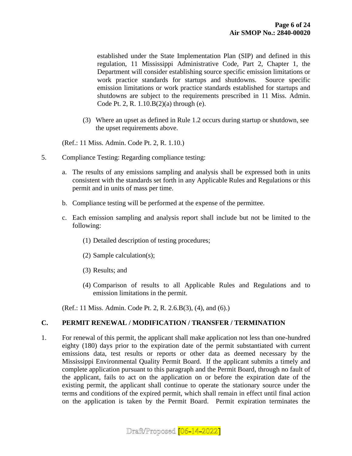established under the State Implementation Plan (SIP) and defined in this regulation, 11 Mississippi Administrative Code, Part 2, Chapter 1, the Department will consider establishing source specific emission limitations or work practice standards for startups and shutdowns. Source specific emission limitations or work practice standards established for startups and shutdowns are subject to the requirements prescribed in 11 Miss. Admin. Code Pt. 2, R. 1.10.B(2)(a) through (e).

(3) Where an upset as defined in Rule 1.2 occurs during startup or shutdown, see the upset requirements above.

(Ref.: 11 Miss. Admin. Code Pt. 2, R. 1.10.)

- 5. Compliance Testing: Regarding compliance testing:
	- a. The results of any emissions sampling and analysis shall be expressed both in units consistent with the standards set forth in any Applicable Rules and Regulations or this permit and in units of mass per time.
	- b. Compliance testing will be performed at the expense of the permittee.
	- c. Each emission sampling and analysis report shall include but not be limited to the following:
		- (1) Detailed description of testing procedures;
		- (2) Sample calculation(s);
		- (3) Results; and
		- (4) Comparison of results to all Applicable Rules and Regulations and to emission limitations in the permit.

(Ref.: 11 Miss. Admin. Code Pt. 2, R. 2.6.B(3), (4), and (6).)

#### **C. PERMIT RENEWAL / MODIFICATION / TRANSFER / TERMINATION**

1. For renewal of this permit, the applicant shall make application not less than one-hundred eighty (180) days prior to the expiration date of the permit substantiated with current emissions data, test results or reports or other data as deemed necessary by the Mississippi Environmental Quality Permit Board. If the applicant submits a timely and complete application pursuant to this paragraph and the Permit Board, through no fault of the applicant, fails to act on the application on or before the expiration date of the existing permit, the applicant shall continue to operate the stationary source under the terms and conditions of the expired permit, which shall remain in effect until final action on the application is taken by the Permit Board. Permit expiration terminates the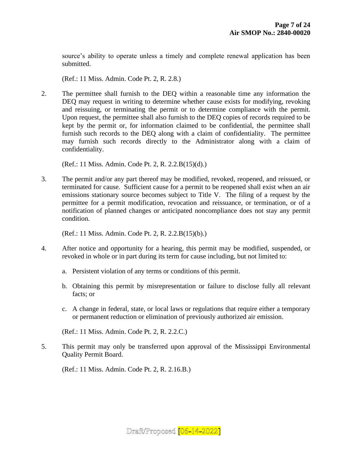source's ability to operate unless a timely and complete renewal application has been submitted.

(Ref.: 11 Miss. Admin. Code Pt. 2, R. 2.8.)

2. The permittee shall furnish to the DEQ within a reasonable time any information the DEQ may request in writing to determine whether cause exists for modifying, revoking and reissuing, or terminating the permit or to determine compliance with the permit. Upon request, the permittee shall also furnish to the DEQ copies of records required to be kept by the permit or, for information claimed to be confidential, the permittee shall furnish such records to the DEQ along with a claim of confidentiality. The permittee may furnish such records directly to the Administrator along with a claim of confidentiality.

(Ref.: 11 Miss. Admin. Code Pt. 2, R. 2.2.B(15)(d).)

3. The permit and/or any part thereof may be modified, revoked, reopened, and reissued, or terminated for cause. Sufficient cause for a permit to be reopened shall exist when an air emissions stationary source becomes subject to Title V. The filing of a request by the permittee for a permit modification, revocation and reissuance, or termination, or of a notification of planned changes or anticipated noncompliance does not stay any permit condition.

(Ref.: 11 Miss. Admin. Code Pt. 2, R. 2.2.B(15)(b).)

- 4. After notice and opportunity for a hearing, this permit may be modified, suspended, or revoked in whole or in part during its term for cause including, but not limited to:
	- a. Persistent violation of any terms or conditions of this permit.
	- b. Obtaining this permit by misrepresentation or failure to disclose fully all relevant facts; or
	- c. A change in federal, state, or local laws or regulations that require either a temporary or permanent reduction or elimination of previously authorized air emission.

(Ref.: 11 Miss. Admin. Code Pt. 2, R. 2.2.C.)

5. This permit may only be transferred upon approval of the Mississippi Environmental Quality Permit Board.

(Ref.: 11 Miss. Admin. Code Pt. 2, R. 2.16.B.)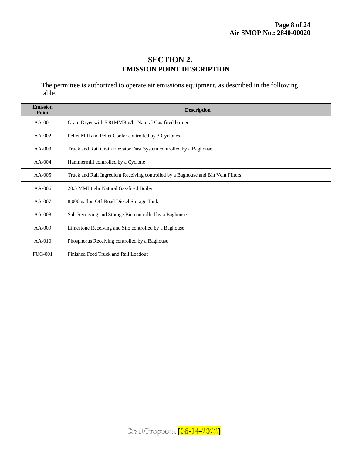## **SECTION 2. EMISSION POINT DESCRIPTION**

The permittee is authorized to operate air emissions equipment, as described in the following table.

| <b>Emission</b><br>Point | <b>Description</b>                                                                |  |  |
|--------------------------|-----------------------------------------------------------------------------------|--|--|
| $AA-001$                 | Grain Dryer with 5.81MMBtu/hr Natural Gas-fired burner                            |  |  |
| $AA-002$                 | Pellet Mill and Pellet Cooler controlled by 3 Cyclones                            |  |  |
| $AA-003$                 | Truck and Rail Grain Elevator Dust System controlled by a Baghouse                |  |  |
| $AA-004$                 | Hammermill controlled by a Cyclone                                                |  |  |
| $AA-005$                 | Truck and Rail Ingredient Receiving controlled by a Baghouse and Bin Vent Filters |  |  |
| $AA-006$                 | 20.5 MMBtu/hr Natural Gas-fired Boiler                                            |  |  |
| $AA-007$                 | 8,000 gallon Off-Road Diesel Storage Tank                                         |  |  |
| $AA-008$                 | Salt Receiving and Storage Bin controlled by a Baghouse                           |  |  |
| $AA-009$                 | Limestone Receiving and Silo controlled by a Baghouse                             |  |  |
| $AA-010$                 | Phosphorus Receiving controlled by a Baghouse                                     |  |  |
| <b>FUG-001</b>           | Finished Feed Truck and Rail Loadout                                              |  |  |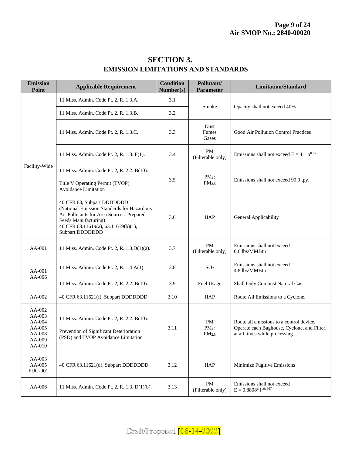| <b>Emission</b><br><b>Point</b>                                    | <b>Applicable Requirement</b>                                                                                                                                                                           | <b>Condition</b><br>Number(s) | Pollutant/<br><b>Parameter</b>       | <b>Limitation/Standard</b>                                                                                                |
|--------------------------------------------------------------------|---------------------------------------------------------------------------------------------------------------------------------------------------------------------------------------------------------|-------------------------------|--------------------------------------|---------------------------------------------------------------------------------------------------------------------------|
|                                                                    | 11 Miss. Admin. Code Pt. 2, R. 1.3.A.                                                                                                                                                                   | 3.1                           | Smoke                                | Opacity shall not exceed 40%                                                                                              |
|                                                                    | 11 Miss. Admin. Code Pt. 2, R. 1.3.B.                                                                                                                                                                   | 3.2                           |                                      |                                                                                                                           |
|                                                                    | 11 Miss. Admin. Code Pt. 2, R. 1.3.C.                                                                                                                                                                   | 3.3                           | Dust<br>Fumes<br>Gases               | Good Air Pollution Control Practices                                                                                      |
|                                                                    | 11 Miss. Admin. Code Pt. 2, R. 1.3. F(1).                                                                                                                                                               | 3.4                           | PM<br>(Filterable only)              | Emissions shall not exceed $E = 4.1 p^{0.67}$                                                                             |
| Facility-Wide                                                      | 11 Miss. Admin. Code Pt. 2, R. 2.2. B(10).<br>Title V Operating Permit (TVOP)<br>Avoidance Limitation                                                                                                   | 3.5                           | $PM_{10}$<br>PM <sub>2.5</sub>       | Emissions shall not exceed 90.0 tpy.                                                                                      |
|                                                                    | 40 CFR 63, Subpart DDDDDDD<br>(National Emission Standards for Hazardous<br>Air Pollutants for Area Sources: Prepared<br>Feeds Manufacturing)<br>40 CFR 63.11619(a), 63.11619(b)(1),<br>Subpart DDDDDDD | 3.6                           | <b>HAP</b>                           | General Applicability                                                                                                     |
| AA-001                                                             | 11 Miss. Admin. Code Pt. 2, R. 1.3.D(1)(a).                                                                                                                                                             | 3.7                           | <b>PM</b><br>(Filterable only)       | Emissions shall not exceed<br>0.6 lbs/MMBtu                                                                               |
| $AA-001$                                                           | 11 Miss. Admin. Code Pt. 2, R. 1.4.A(1).                                                                                                                                                                | 3.8                           | SO <sub>2</sub>                      | Emissions shall not exceed<br>4.8 lbs/MMBtu                                                                               |
| AA-006                                                             | 11 Miss. Admin. Code Pt. 2, R. 2.2. B(10).                                                                                                                                                              | 3.9                           | Fuel Usage                           | Shall Only Combust Natural Gas.                                                                                           |
| AA-002                                                             | 40 CFR 63.11621(f), Subpart DDDDDDD                                                                                                                                                                     | 3.10                          | <b>HAP</b>                           | Route All Emissions to a Cyclone.                                                                                         |
| AA-002<br>AA-003<br>AA-004<br>AA-005<br>AA-008<br>AA-009<br>AA-010 | 11 Miss. Admin. Code Pt. 2, R. 2.2. B(10).<br>Prevention of Significant Deterioration<br>(PSD) and TVOP Avoidance Limitation                                                                            | 3.11                          | PM<br>$PM_{10}$<br>PM <sub>2.5</sub> | Route all emissions to a control device.<br>Operate each Baghouse, Cyclone, and Filter,<br>at all times while processing. |
| AA-003<br>AA-005<br><b>FUG-001</b>                                 | 40 CFR 63.11621(d), Subpart DDDDDDD                                                                                                                                                                     | 3.12                          | HAP                                  | Minimize Fugitive Emissions                                                                                               |
| AA-006                                                             | 11 Miss. Admin. Code Pt. 2, R. 1.3. D(1)(b).                                                                                                                                                            | 3.13                          | PM<br>(Filterable only)              | Emissions shall not exceed<br>$E = 0.8808 * I^{-0.01667}$                                                                 |

# **SECTION 3. EMISSION LIMITATIONS AND STANDARDS**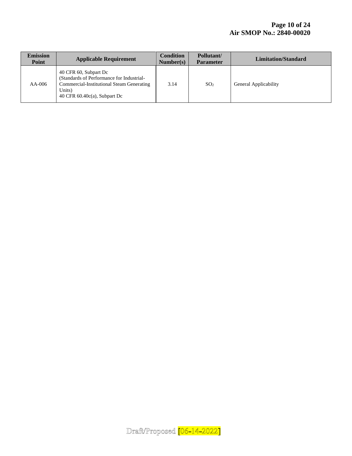| <b>Emission</b><br>Point | <b>Applicable Requirement</b>                                                                                                                                | <b>Condition</b><br>Number(s) | Pollutant/<br><b>Parameter</b> | <b>Limitation/Standard</b> |
|--------------------------|--------------------------------------------------------------------------------------------------------------------------------------------------------------|-------------------------------|--------------------------------|----------------------------|
| $AA-006$                 | 40 CFR 60, Subpart Dc<br>(Standards of Performance for Industrial-<br>Commercial-Institutional Steam Generating<br>Units)<br>40 CFR $60.40c(a)$ , Subpart Dc | 3.14                          | SO <sub>2</sub>                | General Applicability      |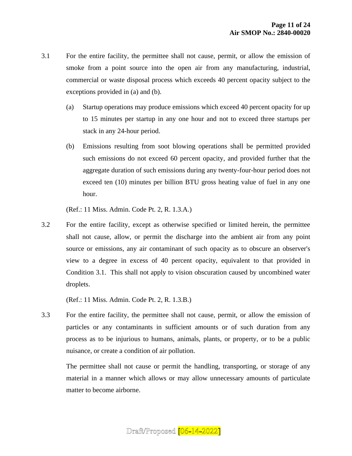- 3.1 For the entire facility, the permittee shall not cause, permit, or allow the emission of smoke from a point source into the open air from any manufacturing, industrial, commercial or waste disposal process which exceeds 40 percent opacity subject to the exceptions provided in (a) and (b).
	- (a) Startup operations may produce emissions which exceed 40 percent opacity for up to 15 minutes per startup in any one hour and not to exceed three startups per stack in any 24-hour period.
	- (b) Emissions resulting from soot blowing operations shall be permitted provided such emissions do not exceed 60 percent opacity, and provided further that the aggregate duration of such emissions during any twenty-four-hour period does not exceed ten (10) minutes per billion BTU gross heating value of fuel in any one hour.

(Ref.: 11 Miss. Admin. Code Pt. 2, R. 1.3.A.)

3.2 For the entire facility, except as otherwise specified or limited herein, the permittee shall not cause, allow, or permit the discharge into the ambient air from any point source or emissions, any air contaminant of such opacity as to obscure an observer's view to a degree in excess of 40 percent opacity, equivalent to that provided in Condition 3.1. This shall not apply to vision obscuration caused by uncombined water droplets.

(Ref.: 11 Miss. Admin. Code Pt. 2, R. 1.3.B.)

3.3 For the entire facility, the permittee shall not cause, permit, or allow the emission of particles or any contaminants in sufficient amounts or of such duration from any process as to be injurious to humans, animals, plants, or property, or to be a public nuisance, or create a condition of air pollution.

The permittee shall not cause or permit the handling, transporting, or storage of any material in a manner which allows or may allow unnecessary amounts of particulate matter to become airborne.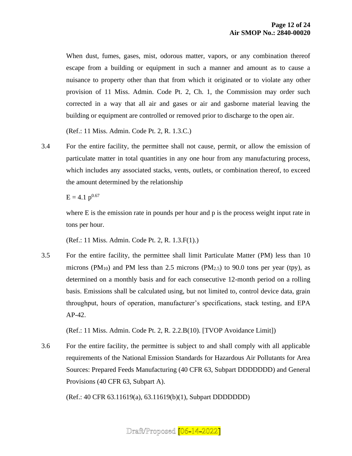When dust, fumes, gases, mist, odorous matter, vapors, or any combination thereof escape from a building or equipment in such a manner and amount as to cause a nuisance to property other than that from which it originated or to violate any other provision of 11 Miss. Admin. Code Pt. 2, Ch. 1, the Commission may order such corrected in a way that all air and gases or air and gasborne material leaving the building or equipment are controlled or removed prior to discharge to the open air.

(Ref.: 11 Miss. Admin. Code Pt. 2, R. 1.3.C.)

3.4 For the entire facility, the permittee shall not cause, permit, or allow the emission of particulate matter in total quantities in any one hour from any manufacturing process, which includes any associated stacks, vents, outlets, or combination thereof, to exceed the amount determined by the relationship

 $E = 4.1$  p<sup>0.67</sup>

where E is the emission rate in pounds per hour and p is the process weight input rate in tons per hour.

(Ref.: 11 Miss. Admin. Code Pt. 2, R. 1.3.F(1).)

3.5 For the entire facility, the permittee shall limit Particulate Matter (PM) less than 10 microns (PM<sub>10</sub>) and PM less than 2.5 microns (PM<sub>2.5</sub>) to 90.0 tons per year (tpy), as determined on a monthly basis and for each consecutive 12-month period on a rolling basis. Emissions shall be calculated using, but not limited to, control device data, grain throughput, hours of operation, manufacturer's specifications, stack testing, and EPA AP-42.

(Ref.: 11 Miss. Admin. Code Pt. 2, R. 2.2.B(10). [TVOP Avoidance Limit])

3.6 For the entire facility, the permittee is subject to and shall comply with all applicable requirements of the National Emission Standards for Hazardous Air Pollutants for Area Sources: Prepared Feeds Manufacturing (40 CFR 63, Subpart DDDDDDD) and General Provisions (40 CFR 63, Subpart A).

(Ref.: 40 CFR 63.11619(a), 63.11619(b)(1), Subpart DDDDDDD)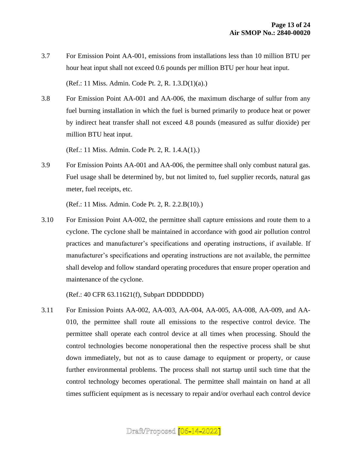- 3.7 For Emission Point AA-001, emissions from installations less than 10 million BTU per hour heat input shall not exceed 0.6 pounds per million BTU per hour heat input. (Ref.: 11 Miss. Admin. Code Pt. 2, R. 1.3.D(1)(a).)
- 3.8 For Emission Point AA-001 and AA-006, the maximum discharge of sulfur from any fuel burning installation in which the fuel is burned primarily to produce heat or power by indirect heat transfer shall not exceed 4.8 pounds (measured as sulfur dioxide) per million BTU heat input.

(Ref.: 11 Miss. Admin. Code Pt. 2, R. 1.4.A(1).)

3.9 For Emission Points AA-001 and AA-006, the permittee shall only combust natural gas. Fuel usage shall be determined by, but not limited to, fuel supplier records, natural gas meter, fuel receipts, etc.

(Ref.: 11 Miss. Admin. Code Pt. 2, R. 2.2.B(10).)

3.10 For Emission Point AA-002, the permittee shall capture emissions and route them to a cyclone. The cyclone shall be maintained in accordance with good air pollution control practices and manufacturer's specifications and operating instructions, if available. If manufacturer's specifications and operating instructions are not available, the permittee shall develop and follow standard operating procedures that ensure proper operation and maintenance of the cyclone.

(Ref.: 40 CFR 63.11621(f), Subpart DDDDDDD)

3.11 For Emission Points AA-002, AA-003, AA-004, AA-005, AA-008, AA-009, and AA-010, the permittee shall route all emissions to the respective control device. The permittee shall operate each control device at all times when processing. Should the control technologies become nonoperational then the respective process shall be shut down immediately, but not as to cause damage to equipment or property, or cause further environmental problems. The process shall not startup until such time that the control technology becomes operational. The permittee shall maintain on hand at all times sufficient equipment as is necessary to repair and/or overhaul each control device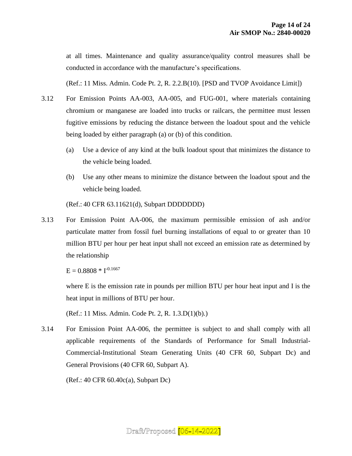at all times. Maintenance and quality assurance/quality control measures shall be conducted in accordance with the manufacture's specifications.

(Ref.: 11 Miss. Admin. Code Pt. 2, R. 2.2.B(10). [PSD and TVOP Avoidance Limit])

- 3.12 For Emission Points AA-003, AA-005, and FUG-001, where materials containing chromium or manganese are loaded into trucks or railcars, the permittee must lessen fugitive emissions by reducing the distance between the loadout spout and the vehicle being loaded by either paragraph (a) or (b) of this condition.
	- (a) Use a device of any kind at the bulk loadout spout that minimizes the distance to the vehicle being loaded.
	- (b) Use any other means to minimize the distance between the loadout spout and the vehicle being loaded.

(Ref.: 40 CFR 63.11621(d), Subpart DDDDDDD)

3.13 For Emission Point AA-006, the maximum permissible emission of ash and/or particulate matter from fossil fuel burning installations of equal to or greater than 10 million BTU per hour per heat input shall not exceed an emission rate as determined by the relationship

 $E = 0.8808 * I^{-0.1667}$ 

where E is the emission rate in pounds per million BTU per hour heat input and I is the heat input in millions of BTU per hour.

(Ref.: 11 Miss. Admin. Code Pt. 2, R. 1.3.D(1)(b).)

3.14 For Emission Point AA-006, the permittee is subject to and shall comply with all applicable requirements of the Standards of Performance for Small Industrial-Commercial-Institutional Steam Generating Units (40 CFR 60, Subpart Dc) and General Provisions (40 CFR 60, Subpart A).

(Ref.: 40 CFR 60.40c(a), Subpart Dc)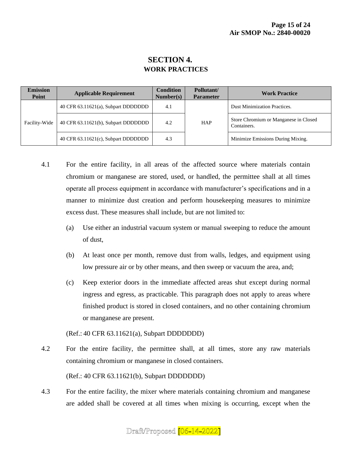## **SECTION 4. WORK PRACTICES**

| <b>Emission</b><br>Point | <b>Applicable Requirement</b>       | <b>Condition</b><br>Number(s) | Pollutant/<br><b>Parameter</b> | <b>Work Practice</b>                                 |
|--------------------------|-------------------------------------|-------------------------------|--------------------------------|------------------------------------------------------|
| Facility-Wide            | 40 CFR 63.11621(a), Subpart DDDDDDD | 4.1                           | <b>HAP</b>                     | <b>Dust Minimization Practices.</b>                  |
|                          | 40 CFR 63.11621(b), Subpart DDDDDDD | 4.2                           |                                | Store Chromium or Manganese in Closed<br>Containers. |
|                          | 40 CFR 63.11621(c), Subpart DDDDDDD | 4.3                           |                                | Minimize Emissions During Mixing.                    |

- 4.1 For the entire facility, in all areas of the affected source where materials contain chromium or manganese are stored, used, or handled, the permittee shall at all times operate all process equipment in accordance with manufacturer's specifications and in a manner to minimize dust creation and perform housekeeping measures to minimize excess dust. These measures shall include, but are not limited to:
	- (a) Use either an industrial vacuum system or manual sweeping to reduce the amount of dust,
	- (b) At least once per month, remove dust from walls, ledges, and equipment using low pressure air or by other means, and then sweep or vacuum the area, and;
	- (c) Keep exterior doors in the immediate affected areas shut except during normal ingress and egress, as practicable. This paragraph does not apply to areas where finished product is stored in closed containers, and no other containing chromium or manganese are present.

(Ref.: 40 CFR 63.11621(a), Subpart DDDDDDD)

- 4.2 For the entire facility, the permittee shall, at all times, store any raw materials containing chromium or manganese in closed containers. (Ref.: 40 CFR 63.11621(b), Subpart DDDDDDD)
- 4.3 For the entire facility, the mixer where materials containing chromium and manganese are added shall be covered at all times when mixing is occurring, except when the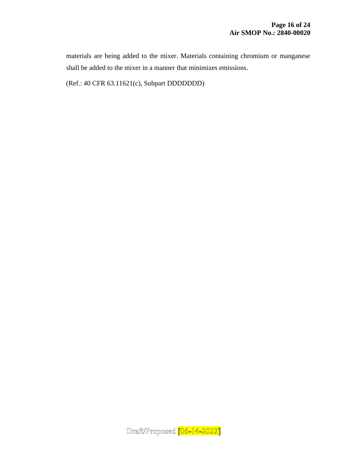materials are being added to the mixer. Materials containing chromium or manganese shall be added to the mixer in a manner that minimizes emissions.

(Ref.: 40 CFR 63.11621(c), Subpart DDDDDDD)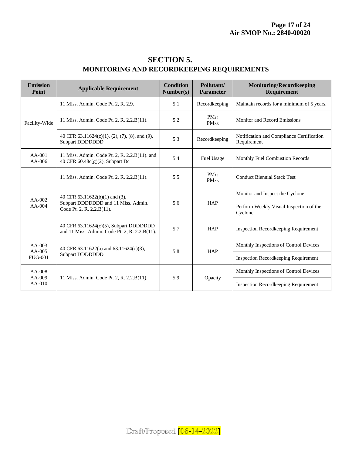| <b>SECTION 5.</b>                                |
|--------------------------------------------------|
| <b>MONITORING AND RECORDKEEPING REQUIREMENTS</b> |

| <b>Emission</b><br>Point               | <b>Applicable Requirement</b>                                                                      | <b>Condition</b><br>Number(s) | Pollutant/<br><b>Parameter</b> | <b>Monitoring/Recordkeeping</b><br><b>Requirement</b>    |
|----------------------------------------|----------------------------------------------------------------------------------------------------|-------------------------------|--------------------------------|----------------------------------------------------------|
| Facility-Wide                          | 11 Miss. Admin. Code Pt. 2, R. 2.9.                                                                | 5.1                           | Recordkeeping                  | Maintain records for a minimum of 5 years.               |
|                                        | 11 Miss. Admin. Code Pt. 2, R. 2.2.B(11).                                                          | 5.2                           | $PM_{10}$<br>PM <sub>2.5</sub> | Monitor and Record Emissions                             |
|                                        | 40 CFR 63.11624(c)(1), (2), (7), (8), and (9),<br>Subpart DDDDDDD                                  | 5.3                           | Recordkeeping                  | Notification and Compliance Certification<br>Requirement |
| $AA-001$<br>$AA-006$                   | 11 Miss. Admin. Code Pt. 2, R. 2.2.B(11). and<br>40 CFR 60.48c(g)(2), Subpart Dc                   | 5.4                           | Fuel Usage                     | Monthly Fuel Combustion Records                          |
| $AA-002$<br>$AA-004$                   | 11 Miss. Admin. Code Pt. 2, R. 2.2.B(11).                                                          | 5.5                           | $PM_{10}$<br>PM <sub>2.5</sub> | <b>Conduct Biennial Stack Test</b>                       |
|                                        | 40 CFR 63.11622(b)(1) and (3),<br>Subpart DDDDDDD and 11 Miss. Admin.<br>Code Pt. 2, R. 2.2.B(11). | 5.6                           | <b>HAP</b>                     | Monitor and Inspect the Cyclone                          |
|                                        |                                                                                                    |                               |                                | Perform Weekly Visual Inspection of the<br>Cyclone       |
|                                        | 40 CFR 63.11624(c)(5), Subpart DDDDDDD<br>and 11 Miss. Admin. Code Pt. 2, R. 2.2.B(11).            | 5.7                           | <b>HAP</b>                     | <b>Inspection Recordkeeping Requirement</b>              |
| $AA-003$<br>$AA-005$<br><b>FUG-001</b> | 40 CFR 63.11622(a) and 63.11624(c)(3),<br>Subpart DDDDDDD                                          | 5.8                           | <b>HAP</b>                     | Monthly Inspections of Control Devices                   |
|                                        |                                                                                                    |                               |                                | <b>Inspection Recordkeeping Requirement</b>              |
| AA-008<br>AA-009<br>$AA-010$           | 11 Miss. Admin. Code Pt. 2, R. 2.2.B(11).                                                          | 5.9                           | Opacity                        | Monthly Inspections of Control Devices                   |
|                                        |                                                                                                    |                               |                                | <b>Inspection Recordkeeping Requirement</b>              |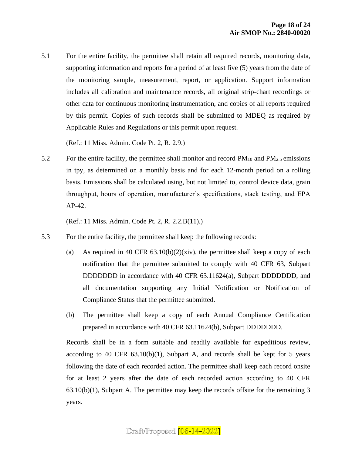5.1 For the entire facility, the permittee shall retain all required records, monitoring data, supporting information and reports for a period of at least five (5) years from the date of the monitoring sample, measurement, report, or application. Support information includes all calibration and maintenance records, all original strip-chart recordings or other data for continuous monitoring instrumentation, and copies of all reports required by this permit. Copies of such records shall be submitted to MDEQ as required by Applicable Rules and Regulations or this permit upon request.

(Ref.: 11 Miss. Admin. Code Pt. 2, R. 2.9.)

5.2 For the entire facility, the permittee shall monitor and record  $PM_{10}$  and  $PM_{2.5}$  emissions in tpy, as determined on a monthly basis and for each 12-month period on a rolling basis. Emissions shall be calculated using, but not limited to, control device data, grain throughput, hours of operation, manufacturer's specifications, stack testing, and EPA AP-42.

(Ref.: 11 Miss. Admin. Code Pt. 2, R. 2.2.B(11).)

- 5.3 For the entire facility, the permittee shall keep the following records:
	- (a) As required in 40 CFR  $(63.10(b)(2)(xiv)$ , the permittee shall keep a copy of each notification that the permittee submitted to comply with 40 CFR 63, Subpart DDDDDDD in accordance with 40 CFR 63.11624(a), Subpart DDDDDDD, and all documentation supporting any Initial Notification or Notification of Compliance Status that the permittee submitted.
	- (b) The permittee shall keep a copy of each Annual Compliance Certification prepared in accordance with 40 CFR 63.11624(b), Subpart DDDDDDD.

Records shall be in a form suitable and readily available for expeditious review, according to 40 CFR  $63.10(b)(1)$ , Subpart A, and records shall be kept for 5 years following the date of each recorded action. The permittee shall keep each record onsite for at least 2 years after the date of each recorded action according to 40 CFR  $63.10(b)(1)$ , Subpart A. The permittee may keep the records offsite for the remaining 3 years.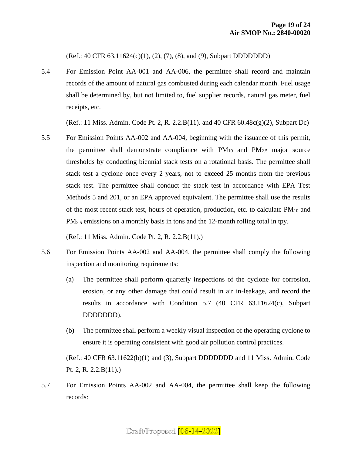(Ref.: 40 CFR 63.11624(c)(1), (2), (7), (8), and (9), Subpart DDDDDDD)

5.4 For Emission Point AA-001 and AA-006, the permittee shall record and maintain records of the amount of natural gas combusted during each calendar month. Fuel usage shall be determined by, but not limited to, fuel supplier records, natural gas meter, fuel receipts, etc.

(Ref.: 11 Miss. Admin. Code Pt. 2, R. 2.2.B(11). and 40 CFR 60.48c(g)(2), Subpart Dc)

5.5 For Emission Points AA-002 and AA-004, beginning with the issuance of this permit, the permittee shall demonstrate compliance with  $PM_{10}$  and  $PM_{2.5}$  major source thresholds by conducting biennial stack tests on a rotational basis. The permittee shall stack test a cyclone once every 2 years, not to exceed 25 months from the previous stack test. The permittee shall conduct the stack test in accordance with EPA Test Methods 5 and 201, or an EPA approved equivalent. The permittee shall use the results of the most recent stack test, hours of operation, production, etc. to calculate  $PM_{10}$  and PM<sub>2.5</sub> emissions on a monthly basis in tons and the 12-month rolling total in tpy.

(Ref.: 11 Miss. Admin. Code Pt. 2, R. 2.2.B(11).)

- 5.6 For Emission Points AA-002 and AA-004, the permittee shall comply the following inspection and monitoring requirements:
	- (a) The permittee shall perform quarterly inspections of the cyclone for corrosion, erosion, or any other damage that could result in air in-leakage, and record the results in accordance with Condition 5.7 (40 CFR 63.11624(c), Subpart DDDDDDD).
	- (b) The permittee shall perform a weekly visual inspection of the operating cyclone to ensure it is operating consistent with good air pollution control practices.

(Ref.: 40 CFR 63.11622(b)(1) and (3), Subpart DDDDDDD and 11 Miss. Admin. Code Pt. 2, R. 2.2.B(11).)

5.7 For Emission Points AA-002 and AA-004, the permittee shall keep the following records: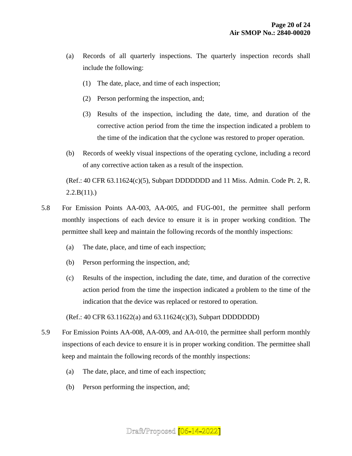- (a) Records of all quarterly inspections. The quarterly inspection records shall include the following:
	- (1) The date, place, and time of each inspection;
	- (2) Person performing the inspection, and;
	- (3) Results of the inspection, including the date, time, and duration of the corrective action period from the time the inspection indicated a problem to the time of the indication that the cyclone was restored to proper operation.
- (b) Records of weekly visual inspections of the operating cyclone, including a record of any corrective action taken as a result of the inspection.

(Ref.:  $40$  CFR  $63.11624(c)(5)$ , Subpart DDDDDDD and 11 Miss. Admin. Code Pt. 2, R.  $2.2.B(11)$ .

- 5.8 For Emission Points AA-003, AA-005, and FUG-001, the permittee shall perform monthly inspections of each device to ensure it is in proper working condition. The permittee shall keep and maintain the following records of the monthly inspections:
	- (a) The date, place, and time of each inspection;
	- (b) Person performing the inspection, and;
	- (c) Results of the inspection, including the date, time, and duration of the corrective action period from the time the inspection indicated a problem to the time of the indication that the device was replaced or restored to operation.

(Ref.: 40 CFR 63.11622(a) and 63.11624(c)(3), Subpart DDDDDDD)

- 5.9 For Emission Points AA-008, AA-009, and AA-010, the permittee shall perform monthly inspections of each device to ensure it is in proper working condition. The permittee shall keep and maintain the following records of the monthly inspections:
	- (a) The date, place, and time of each inspection;
	- (b) Person performing the inspection, and;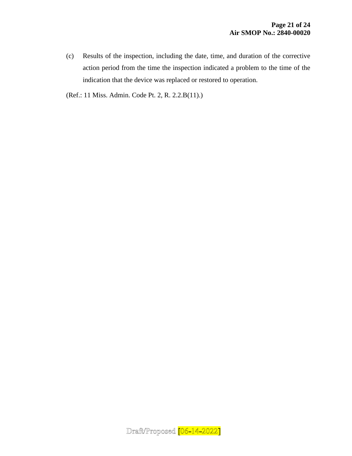(c) Results of the inspection, including the date, time, and duration of the corrective action period from the time the inspection indicated a problem to the time of the indication that the device was replaced or restored to operation.

(Ref.: 11 Miss. Admin. Code Pt. 2, R. 2.2.B(11).)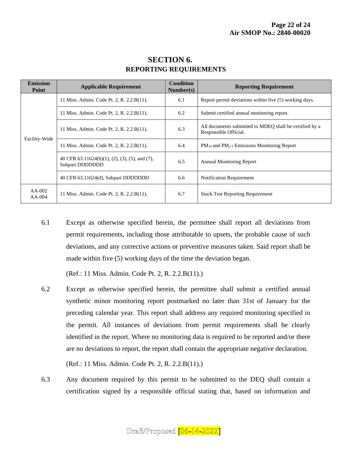| <b>Emission</b><br>Point | <b>Applicable Requirement</b>                                                    | <b>Condition</b><br>Number(s) | <b>Reporting Requirement</b>                                                     |
|--------------------------|----------------------------------------------------------------------------------|-------------------------------|----------------------------------------------------------------------------------|
| Facility-Wide            | 11 Miss. Admin. Code Pt. 2, R. 2.2.B(11).                                        | 6.1                           | Report permit deviations within five (5) working days.                           |
|                          | 11 Miss. Admin. Code Pt. 2, R. 2.2.B(11).                                        | 6.2                           | Submit certified annual monitoring report.                                       |
|                          | 11 Miss. Admin. Code Pt. 2, R. 2.2.B(11).                                        | 6.3                           | All documents submitted to MDEQ shall be certified by a<br>Responsible Official. |
|                          | 11 Miss. Admin. Code Pt. 2, R. 2.2.B(11).                                        | 6.4                           | $PM_{10}$ and $PM_{2.5}$ Emissions Monitoring Report                             |
|                          | 40 CFR $63.11624(b)(1)$ , $(2)$ , $(3)$ , $(5)$ , and $(7)$ ,<br>Subpart DDDDDDD | 6.5                           | <b>Annual Monitoring Report</b>                                                  |
|                          | 40 CFR 63.11624(d), Subpart DDDDDDD                                              | 6.6                           | Notification Requirement                                                         |
| $AA-002$<br>$AA-004$     | 11 Miss. Admin. Code Pt. 2, R. 2.2.B(11).                                        | 6.7                           | <b>Stack Test Reporting Requirement</b>                                          |

## **SECTION 6. REPORTING REQUIREMENTS**

6.1 Except as otherwise specified herein, the permittee shall report all deviations from permit requirements, including those attributable to upsets, the probable cause of such deviations, and any corrective actions or preventive measures taken. Said report shall be made within five (5) working days of the time the deviation began.

(Ref.: 11 Miss. Admin. Code Pt. 2, R. 2.2.B(11).)

6.2 Except as otherwise specified herein, the permittee shall submit a certified annual synthetic minor monitoring report postmarked no later than 31st of January for the preceding calendar year. This report shall address any required monitoring specified in the permit. All instances of deviations from permit requirements shall be clearly identified in the report. Where no monitoring data is required to be reported and/or there are no deviations to report, the report shall contain the appropriate negative declaration.

(Ref.: 11 Miss. Admin. Code Pt. 2, R. 2.2.B(11).)

6.3 Any document required by this permit to be submitted to the DEQ shall contain a certification signed by a responsible official stating that, based on information and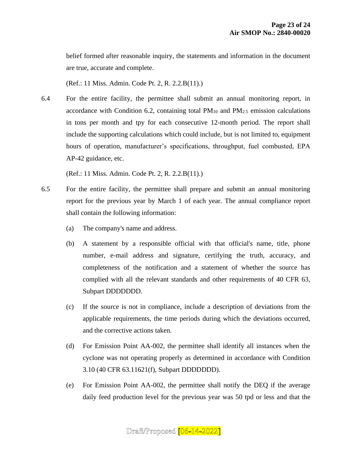belief formed after reasonable inquiry, the statements and information in the document are true, accurate and complete.

(Ref.: 11 Miss. Admin. Code Pt. 2, R. 2.2.B(11).)

6.4 For the entire facility, the permittee shall submit an annual monitoring report, in accordance with Condition 6.2, containing total  $PM_{10}$  and  $PM_{2.5}$  emission calculations in tons per month and tpy for each consecutive 12-month period. The report shall include the supporting calculations which could include, but is not limited to, equipment hours of operation, manufacturer's specifications, throughput, fuel combusted, EPA AP-42 guidance, etc.

(Ref.: 11 Miss. Admin. Code Pt. 2, R. 2.2.B(11).)

- 6.5 For the entire facility, the permittee shall prepare and submit an annual monitoring report for the previous year by March 1 of each year. The annual compliance report shall contain the following information:
	- (a) The company's name and address.
	- (b) A statement by a responsible official with that official's name, title, phone number, e-mail address and signature, certifying the truth, accuracy, and completeness of the notification and a statement of whether the source has complied with all the relevant standards and other requirements of 40 CFR 63, Subpart DDDDDDD.
	- (c) If the source is not in compliance, include a description of deviations from the applicable requirements, the time periods during which the deviations occurred, and the corrective actions taken.
	- (d) For Emission Point AA-002, the permittee shall identify all instances when the cyclone was not operating properly as determined in accordance with Condition 3.10 (40 CFR 63.11621(f), Subpart DDDDDDD).
	- (e) For Emission Point AA-002, the permittee shall notify the DEQ if the average daily feed production level for the previous year was 50 tpd or less and that the